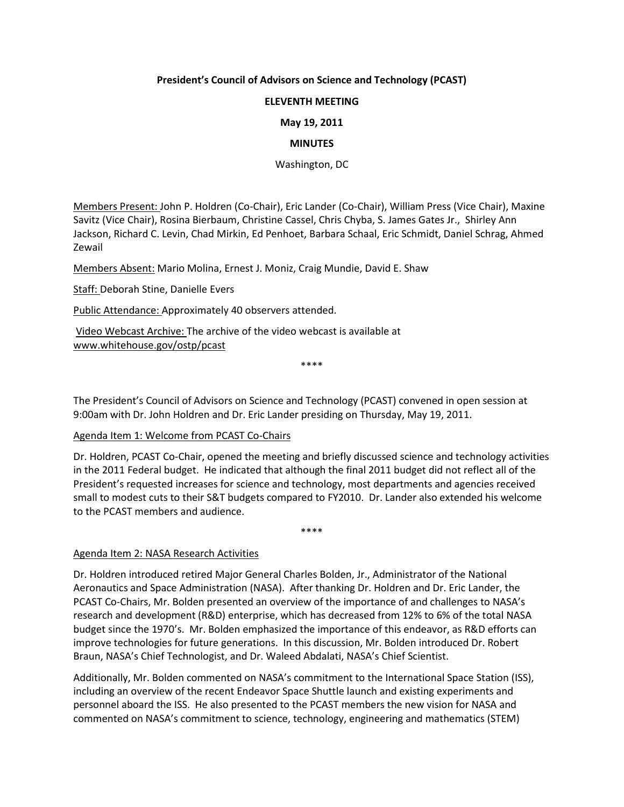## **President's Council of Advisors on Science and Technology (PCAST)**

# **ELEVENTH MEETING**

# **May 19, 2011**

## **MINUTES**

Washington, DC

Members Present: John P. Holdren (Co-Chair), Eric Lander (Co-Chair), William Press (Vice Chair), Maxine Savitz (Vice Chair), Rosina Bierbaum, Christine Cassel, Chris Chyba, S. James Gates Jr., Shirley Ann Jackson, Richard C. Levin, Chad Mirkin, Ed Penhoet, Barbara Schaal, Eric Schmidt, Daniel Schrag, Ahmed Zewail

Members Absent: Mario Molina, Ernest J. Moniz, Craig Mundie, David E. Shaw

Staff: Deborah Stine, Danielle Evers

Public Attendance: Approximately 40 observers attended.

Video Webcast Archive: The archive of the video webcast is available at [www.whitehouse.gov/ostp/pcast](http://www.whitehouse.gov/ostp/pcast)

\*\*\*\*

The President's Council of Advisors on Science and Technology (PCAST) convened in open session at 9:00am with Dr. John Holdren and Dr. Eric Lander presiding on Thursday, May 19, 2011.

#### Agenda Item 1: Welcome from PCAST Co-Chairs

Dr. Holdren, PCAST Co-Chair, opened the meeting and briefly discussed science and technology activities in the 2011 Federal budget. He indicated that although the final 2011 budget did not reflect all of the President's requested increases for science and technology, most departments and agencies received small to modest cuts to their S&T budgets compared to FY2010. Dr. Lander also extended his welcome to the PCAST members and audience.

\*\*\*\*

Agenda Item 2: NASA Research Activities

Dr. Holdren introduced retired Major General Charles Bolden, Jr., Administrator of the National Aeronautics and Space Administration (NASA). After thanking Dr. Holdren and Dr. Eric Lander, the PCAST Co-Chairs, Mr. Bolden presented an overview of the importance of and challenges to NASA's research and development (R&D) enterprise, which has decreased from 12% to 6% of the total NASA budget since the 1970's. Mr. Bolden emphasized the importance of this endeavor, as R&D efforts can improve technologies for future generations. In this discussion, Mr. Bolden introduced Dr. Robert Braun, NASA's Chief Technologist, and Dr. Waleed Abdalati, NASA's Chief Scientist.

Additionally, Mr. Bolden commented on NASA's commitment to the International Space Station (ISS), including an overview of the recent Endeavor Space Shuttle launch and existing experiments and personnel aboard the ISS. He also presented to the PCAST members the new vision for NASA and commented on NASA's commitment to science, technology, engineering and mathematics (STEM)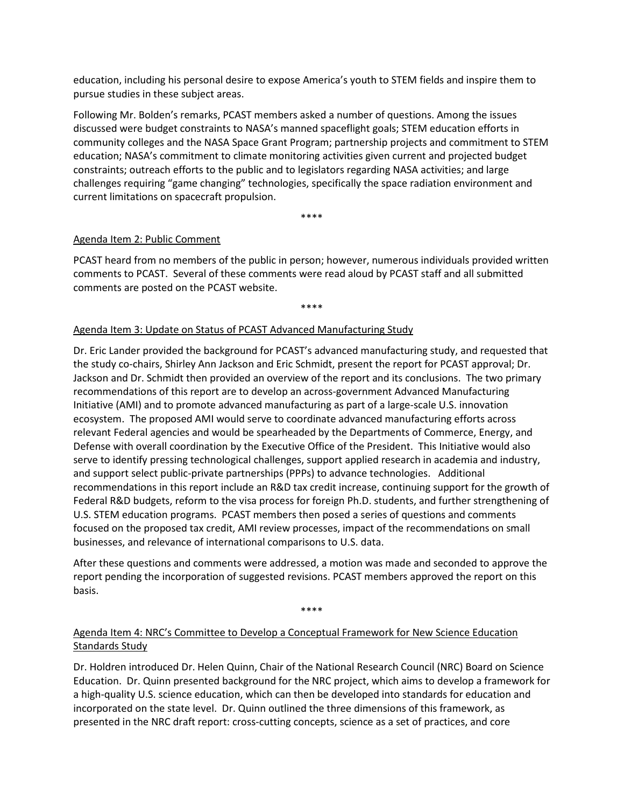education, including his personal desire to expose America's youth to STEM fields and inspire them to pursue studies in these subject areas.

Following Mr. Bolden's remarks, PCAST members asked a number of questions. Among the issues discussed were budget constraints to NASA's manned spaceflight goals; STEM education efforts in community colleges and the NASA Space Grant Program; partnership projects and commitment to STEM education; NASA's commitment to climate monitoring activities given current and projected budget constraints; outreach efforts to the public and to legislators regarding NASA activities; and large challenges requiring "game changing" technologies, specifically the space radiation environment and current limitations on spacecraft propulsion.

\*\*\*\*

#### Agenda Item 2: Public Comment

PCAST heard from no members of the public in person; however, numerous individuals provided written comments to PCAST. Several of these comments were read aloud by PCAST staff and all submitted comments are posted on the PCAST website.

\*\*\*\*

#### Agenda Item 3: Update on Status of PCAST Advanced Manufacturing Study

Dr. Eric Lander provided the background for PCAST's advanced manufacturing study, and requested that the study co-chairs, Shirley Ann Jackson and Eric Schmidt, present the report for PCAST approval; Dr. Jackson and Dr. Schmidt then provided an overview of the report and its conclusions. The two primary recommendations of this report are to develop an across-government Advanced Manufacturing Initiative (AMI) and to promote advanced manufacturing as part of a large-scale U.S. innovation ecosystem. The proposed AMI would serve to coordinate advanced manufacturing efforts across relevant Federal agencies and would be spearheaded by the Departments of Commerce, Energy, and Defense with overall coordination by the Executive Office of the President. This Initiative would also serve to identify pressing technological challenges, support applied research in academia and industry, and support select public-private partnerships (PPPs) to advance technologies. Additional recommendations in this report include an R&D tax credit increase, continuing support for the growth of Federal R&D budgets, reform to the visa process for foreign Ph.D. students, and further strengthening of U.S. STEM education programs. PCAST members then posed a series of questions and comments focused on the proposed tax credit, AMI review processes, impact of the recommendations on small businesses, and relevance of international comparisons to U.S. data.

After these questions and comments were addressed, a motion was made and seconded to approve the report pending the incorporation of suggested revisions. PCAST members approved the report on this basis.

\*\*\*\*

# Agenda Item 4: NRC's Committee to Develop a Conceptual Framework for New Science Education Standards Study

Dr. Holdren introduced Dr. Helen Quinn, Chair of the National Research Council (NRC) Board on Science Education. Dr. Quinn presented background for the NRC project, which aims to develop a framework for a high-quality U.S. science education, which can then be developed into standards for education and incorporated on the state level. Dr. Quinn outlined the three dimensions of this framework, as presented in the NRC draft report: cross-cutting concepts, science as a set of practices, and core